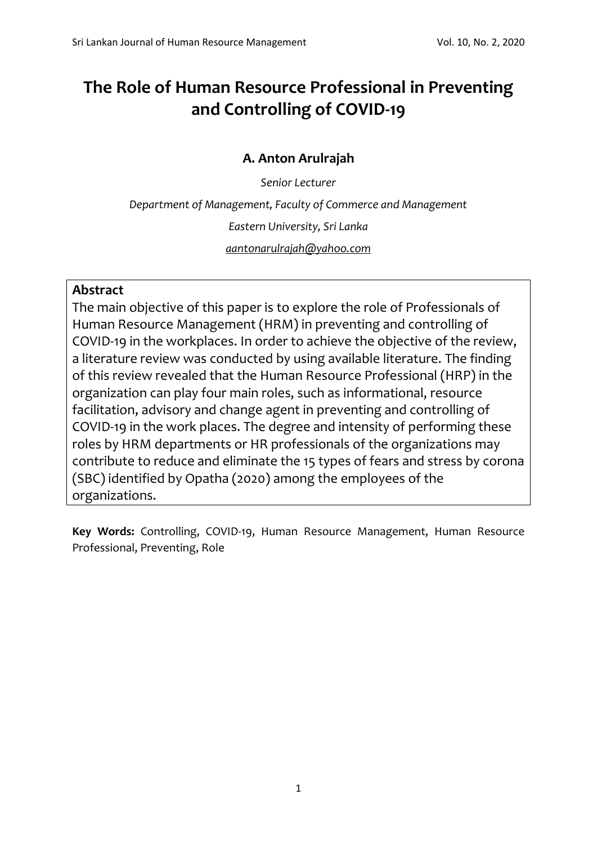# **The Role of Human Resource Professional in Preventing and Controlling of COVID-19**

# **A. Anton Arulrajah**

*Senior Lecturer*

*Department of Management, Faculty of Commerce and Management*

*Eastern University, Sri Lanka*

*[aantonarulrajah@yahoo.com](mailto:aantonarulrajah@yahoo.com)*

# **Abstract**

The main objective of this paper is to explore the role of Professionals of Human Resource Management (HRM) in preventing and controlling of COVID-19 in the workplaces. In order to achieve the objective of the review, a literature review was conducted by using available literature. The finding of this review revealed that the Human Resource Professional (HRP) in the organization can play four main roles, such as informational, resource facilitation, advisory and change agent in preventing and controlling of COVID-19 in the work places. The degree and intensity of performing these roles by HRM departments or HR professionals of the organizations may contribute to reduce and eliminate the 15 types of fears and stress by corona (SBC) identified by Opatha (2020) among the employees of the organizations.

**Key Words:** Controlling, COVID-19, Human Resource Management, Human Resource Professional, Preventing, Role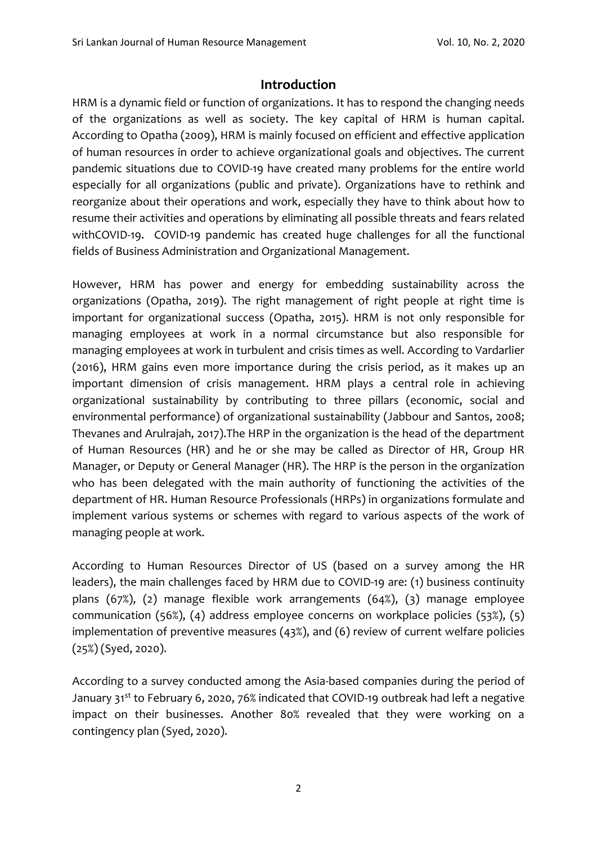## **Introduction**

HRM is a dynamic field or function of organizations. It has to respond the changing needs of the organizations as well as society. The key capital of HRM is human capital. According to Opatha (2009), HRM is mainly focused on efficient and effective application of human resources in order to achieve organizational goals and objectives. The current pandemic situations due to COVID-19 have created many problems for the entire world especially for all organizations (public and private). Organizations have to rethink and reorganize about their operations and work, especially they have to think about how to resume their activities and operations by eliminating all possible threats and fears related withCOVID-19. COVID-19 pandemic has created huge challenges for all the functional fields of Business Administration and Organizational Management.

However, HRM has power and energy for embedding sustainability across the organizations (Opatha, 2019). The right management of right people at right time is important for organizational success (Opatha, 2015). HRM is not only responsible for managing employees at work in a normal circumstance but also responsible for managing employees at work in turbulent and crisis times as well. According to Vardarlier (2016), HRM gains even more importance during the crisis period, as it makes up an important dimension of crisis management. HRM plays a central role in achieving organizational sustainability by contributing to three pillars (economic, social and environmental performance) of organizational sustainability (Jabbour and Santos, 2008; Thevanes and Arulrajah, 2017).The HRP in the organization is the head of the department of Human Resources (HR) and he or she may be called as Director of HR, Group HR Manager, or Deputy or General Manager (HR). The HRP is the person in the organization who has been delegated with the main authority of functioning the activities of the department of HR. Human Resource Professionals (HRPs) in organizations formulate and implement various systems or schemes with regard to various aspects of the work of managing people at work.

According to Human Resources Director of US (based on a survey among the HR leaders), the main challenges faced by HRM due to COVID-19 are: (1) business continuity plans (67%), (2) manage flexible work arrangements (64%), (3) manage employee communication (56%), (4) address employee concerns on workplace policies (53%), (5) implementation of preventive measures (43%), and (6) review of current welfare policies (25%) (Syed, 2020).

According to a survey conducted among the Asia-based companies during the period of January 31<sup>st</sup> to February 6, 2020, 76% indicated that COVID-19 outbreak had left a negative impact on their businesses. Another 80% revealed that they were working on a contingency plan (Syed, 2020).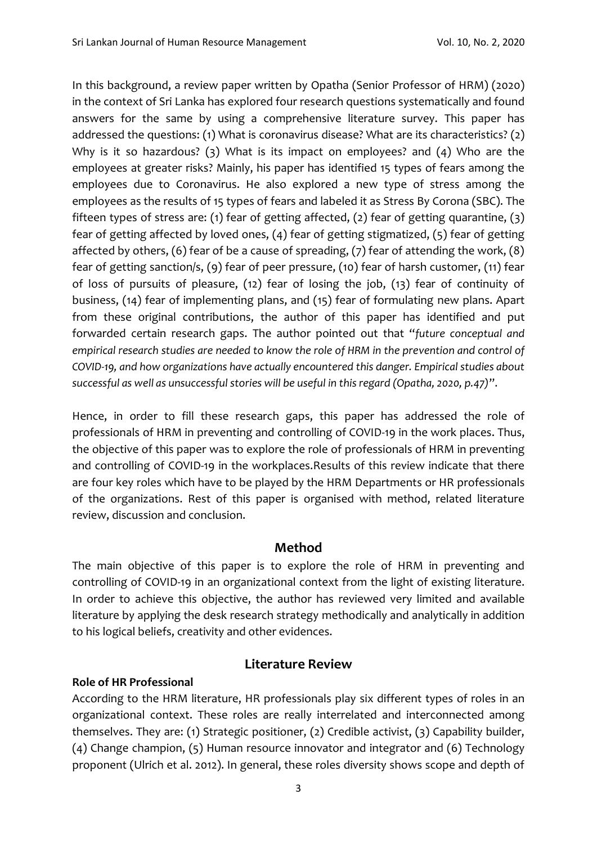In this background, a review paper written by Opatha (Senior Professor of HRM) (2020) in the context of Sri Lanka has explored four research questions systematically and found answers for the same by using a comprehensive literature survey. This paper has addressed the questions: (1) What is coronavirus disease? What are its characteristics? (2) Why is it so hazardous? (3) What is its impact on employees? and (4) Who are the employees at greater risks? Mainly, his paper has identified 15 types of fears among the employees due to Coronavirus. He also explored a new type of stress among the employees as the results of 15 types of fears and labeled it as Stress By Corona (SBC). The fifteen types of stress are: (1) fear of getting affected, (2) fear of getting quarantine, (3) fear of getting affected by loved ones, (4) fear of getting stigmatized, (5) fear of getting affected by others, (6) fear of be a cause of spreading, (7) fear of attending the work, (8) fear of getting sanction/s, (9) fear of peer pressure, (10) fear of harsh customer, (11) fear of loss of pursuits of pleasure, (12) fear of losing the job, (13) fear of continuity of business, (14) fear of implementing plans, and (15) fear of formulating new plans. Apart from these original contributions, the author of this paper has identified and put forwarded certain research gaps. The author pointed out that "*future conceptual and empirical research studies are needed to know the role of HRM in the prevention and control of COVID-19, and how organizations have actually encountered this danger. Empirical studies about successful as well as unsuccessful stories will be useful in this regard (Opatha, 2020, p.47)*".

Hence, in order to fill these research gaps, this paper has addressed the role of professionals of HRM in preventing and controlling of COVID-19 in the work places. Thus, the objective of this paper was to explore the role of professionals of HRM in preventing and controlling of COVID-19 in the workplaces.Results of this review indicate that there are four key roles which have to be played by the HRM Departments or HR professionals of the organizations. Rest of this paper is organised with method, related literature review, discussion and conclusion.

## **Method**

The main objective of this paper is to explore the role of HRM in preventing and controlling of COVID-19 in an organizational context from the light of existing literature. In order to achieve this objective, the author has reviewed very limited and available literature by applying the desk research strategy methodically and analytically in addition to his logical beliefs, creativity and other evidences.

### **Role of HR Professional**

# **Literature Review**

According to the HRM literature, HR professionals play six different types of roles in an organizational context. These roles are really interrelated and interconnected among themselves. They are: (1) Strategic positioner, (2) Credible activist, (3) Capability builder, (4) Change champion, (5) Human resource innovator and integrator and (6) Technology proponent (Ulrich et al. 2012). In general, these roles diversity shows scope and depth of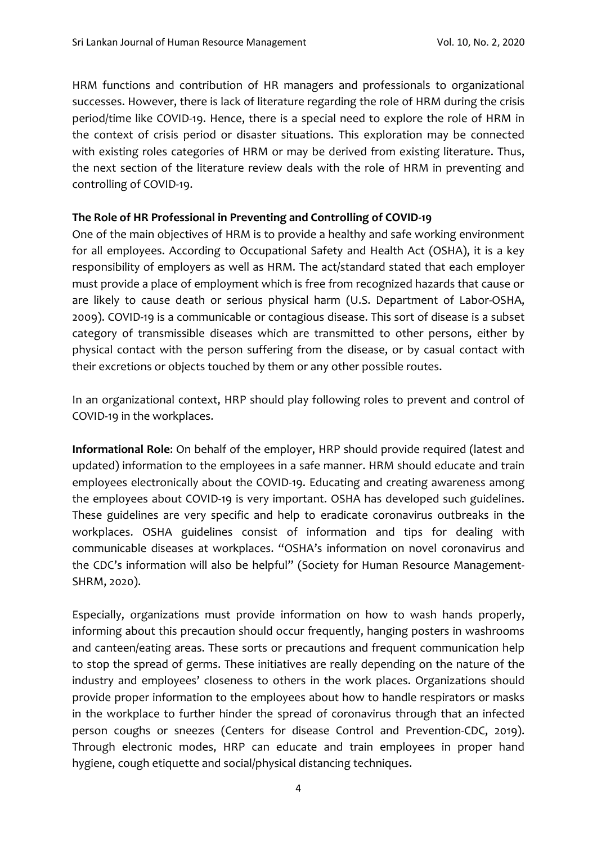HRM functions and contribution of HR managers and professionals to organizational successes. However, there is lack of literature regarding the role of HRM during the crisis period/time like COVID-19. Hence, there is a special need to explore the role of HRM in the context of crisis period or disaster situations. This exploration may be connected with existing roles categories of HRM or may be derived from existing literature. Thus, the next section of the literature review deals with the role of HRM in preventing and controlling of COVID-19.

#### **The Role of HR Professional in Preventing and Controlling of COVID-19**

One of the main objectives of HRM is to provide a healthy and safe working environment for all employees. According to Occupational Safety and Health Act (OSHA), it is a key responsibility of employers as well as HRM. The act/standard stated that each employer must provide a place of employment which is free from recognized hazards that cause or are likely to cause death or serious physical harm (U.S. Department of Labor-OSHA, 2009). COVID-19 is a communicable or contagious disease. This sort of disease is a subset category of transmissible diseases which are transmitted to other persons, either by physical contact with the person suffering from the disease, or by casual contact with their excretions or objects touched by them or any other possible routes.

In an organizational context, HRP should play following roles to prevent and control of COVID-19 in the workplaces.

**Informational Role**: On behalf of the employer, HRP should provide required (latest and updated) information to the employees in a safe manner. HRM should educate and train employees electronically about the COVID-19. Educating and creating awareness among the employees about COVID-19 is very important. OSHA has developed such guidelines. These guidelines are very specific and help to eradicate coronavirus outbreaks in the workplaces. OSHA guidelines consist of information and tips for dealing with communicable diseases at workplaces. "OSHA's information on novel coronavirus and the CDC's information will also be helpful" (Society for Human Resource Management-SHRM, 2020).

Especially, organizations must provide information on how to wash hands properly, informing about this precaution should occur frequently, hanging posters in washrooms and canteen/eating areas. These sorts or precautions and frequent communication help to stop the spread of germs. These initiatives are really depending on the nature of the industry and employees' closeness to others in the work places. Organizations should provide proper information to the employees about how to handle respirators or masks in the workplace to further hinder the spread of coronavirus through that an infected person coughs or sneezes (Centers for disease Control and Prevention-CDC, 2019). Through electronic modes, HRP can educate and train employees in proper hand hygiene, cough etiquette and social/physical distancing techniques.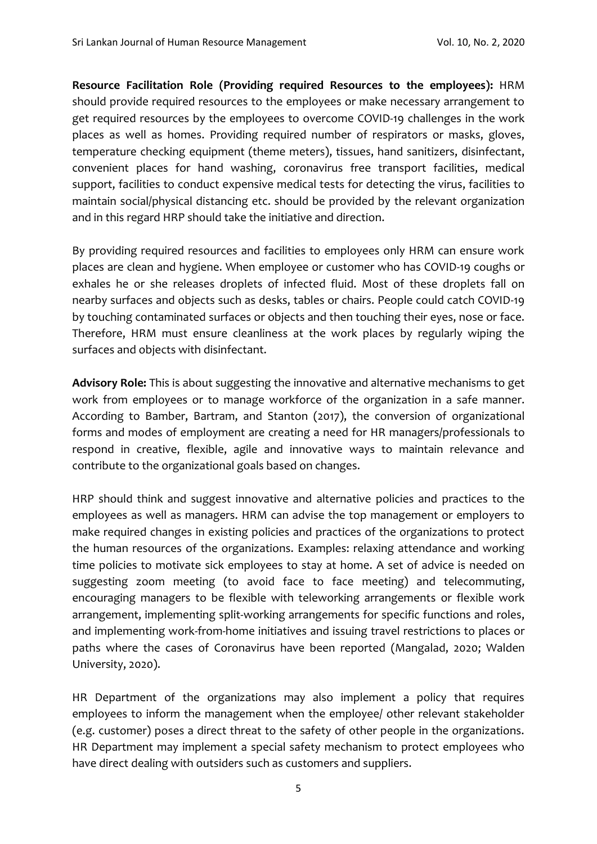**Resource Facilitation Role (Providing required Resources to the employees):** HRM should provide required resources to the employees or make necessary arrangement to get required resources by the employees to overcome COVID-19 challenges in the work places as well as homes. Providing required number of respirators or masks, gloves, temperature checking equipment (theme meters), tissues, hand sanitizers, disinfectant, convenient places for hand washing, coronavirus free transport facilities, medical support, facilities to conduct expensive medical tests for detecting the virus, facilities to maintain social/physical distancing etc. should be provided by the relevant organization and in this regard HRP should take the initiative and direction.

By providing required resources and facilities to employees only HRM can ensure work places are clean and hygiene. When employee or customer who has COVID-19 coughs or exhales he or she releases droplets of infected fluid. Most of these droplets fall on nearby surfaces and objects such as desks, tables or chairs. People could catch COVID-19 by touching contaminated surfaces or objects and then touching their eyes, nose or face. Therefore, HRM must ensure cleanliness at the work places by regularly wiping the surfaces and objects with disinfectant.

**Advisory Role:** This is about suggesting the innovative and alternative mechanisms to get work from employees or to manage workforce of the organization in a safe manner. According to Bamber, Bartram, and Stanton (2017), the conversion of organizational forms and modes of employment are creating a need for HR managers/professionals to respond in creative, flexible, agile and innovative ways to maintain relevance and contribute to the organizational goals based on changes.

HRP should think and suggest innovative and alternative policies and practices to the employees as well as managers. HRM can advise the top management or employers to make required changes in existing policies and practices of the organizations to protect the human resources of the organizations. Examples: relaxing attendance and working time policies to motivate sick employees to stay at home. A set of advice is needed on suggesting zoom meeting (to avoid face to face meeting) and telecommuting, encouraging managers to be flexible with teleworking arrangements or flexible work arrangement, implementing split-working arrangements for specific functions and roles, and implementing work-from-home initiatives and issuing travel restrictions to places or paths where the cases of Coronavirus have been reported (Mangalad, 2020; Walden University, 2020).

HR Department of the organizations may also implement a policy that requires employees to inform the management when the employee/ other relevant stakeholder (e.g. customer) poses a direct threat to the safety of other people in the organizations. HR Department may implement a special safety mechanism to protect employees who have direct dealing with outsiders such as customers and suppliers.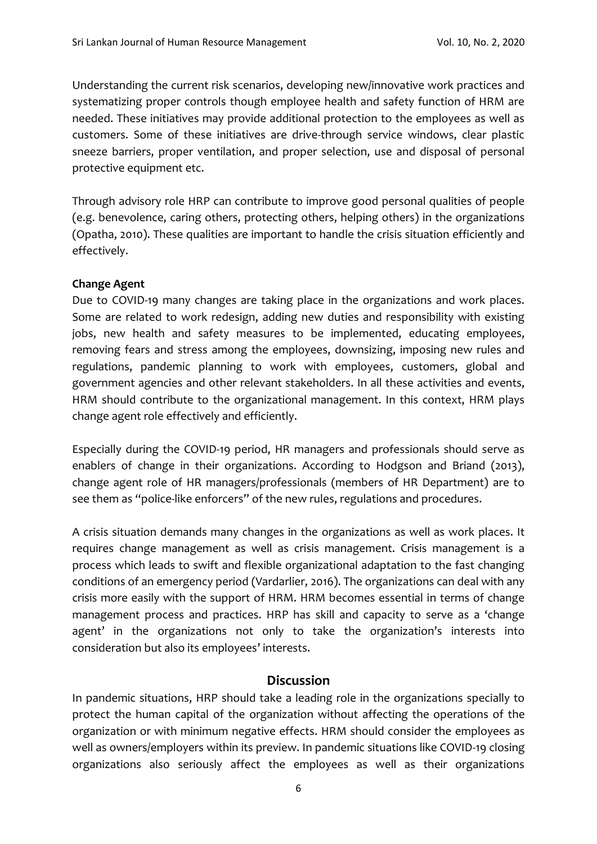Understanding the current risk scenarios, developing new/innovative work practices and systematizing proper controls though employee health and safety function of HRM are needed. These initiatives may provide additional protection to the employees as well as customers. Some of these initiatives are drive-through service windows, clear plastic sneeze barriers, proper ventilation, and proper selection, use and disposal of personal protective equipment etc.

Through advisory role HRP can contribute to improve good personal qualities of people (e.g. benevolence, caring others, protecting others, helping others) in the organizations (Opatha, 2010). These qualities are important to handle the crisis situation efficiently and effectively.

#### **Change Agent**

Due to COVID-19 many changes are taking place in the organizations and work places. Some are related to work redesign, adding new duties and responsibility with existing jobs, new health and safety measures to be implemented, educating employees, removing fears and stress among the employees, downsizing, imposing new rules and regulations, pandemic planning to work with employees, customers, global and government agencies and other relevant stakeholders. In all these activities and events, HRM should contribute to the organizational management. In this context, HRM plays change agent role effectively and efficiently.

Especially during the COVID-19 period, HR managers and professionals should serve as enablers of change in their organizations. According to Hodgson and Briand (2013), change agent role of HR managers/professionals (members of HR Department) are to see them as "police-like enforcers" of the new rules, regulations and procedures.

A crisis situation demands many changes in the organizations as well as work places. It requires change management as well as crisis management. Crisis management is a process which leads to swift and flexible organizational adaptation to the fast changing conditions of an emergency period (Vardarlier, 2016). The organizations can deal with any crisis more easily with the support of HRM. HRM becomes essential in terms of change management process and practices. HRP has skill and capacity to serve as a 'change agent' in the organizations not only to take the organization's interests into consideration but also its employees' interests.

### **Discussion**

In pandemic situations, HRP should take a leading role in the organizations specially to protect the human capital of the organization without affecting the operations of the organization or with minimum negative effects. HRM should consider the employees as well as owners/employers within its preview. In pandemic situations like COVID-19 closing organizations also seriously affect the employees as well as their organizations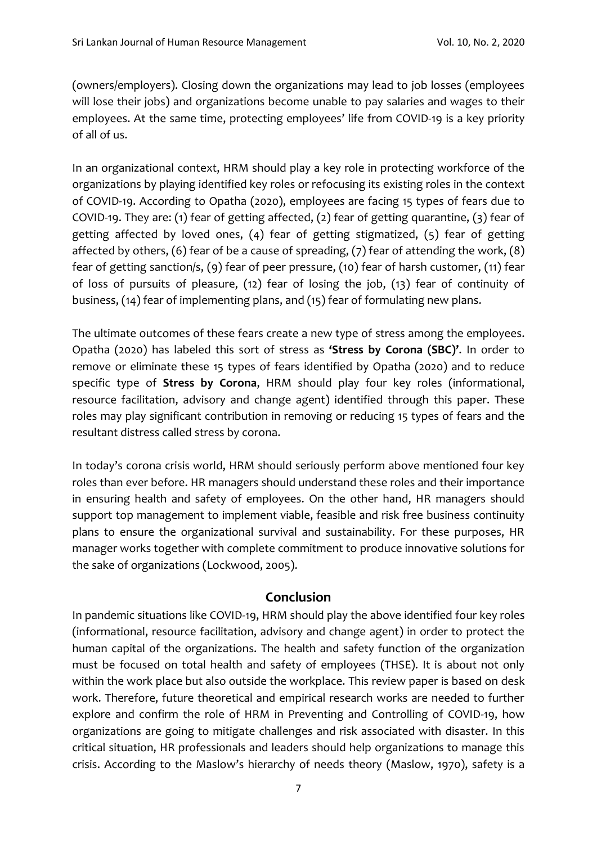(owners/employers). Closing down the organizations may lead to job losses (employees will lose their jobs) and organizations become unable to pay salaries and wages to their employees. At the same time, protecting employees' life from COVID-19 is a key priority of all of us.

In an organizational context, HRM should play a key role in protecting workforce of the organizations by playing identified key roles or refocusing its existing roles in the context of COVID-19. According to Opatha (2020), employees are facing 15 types of fears due to COVID-19. They are: (1) fear of getting affected, (2) fear of getting quarantine, (3) fear of getting affected by loved ones, (4) fear of getting stigmatized, (5) fear of getting affected by others, (6) fear of be a cause of spreading, (7) fear of attending the work, (8) fear of getting sanction/s, (9) fear of peer pressure, (10) fear of harsh customer, (11) fear of loss of pursuits of pleasure, (12) fear of losing the job, (13) fear of continuity of business, (14) fear of implementing plans, and (15) fear of formulating new plans.

The ultimate outcomes of these fears create a new type of stress among the employees. Opatha (2020) has labeled this sort of stress as **'Stress by Corona (SBC)'**. In order to remove or eliminate these 15 types of fears identified by Opatha (2020) and to reduce specific type of **Stress by Corona**, HRM should play four key roles (informational, resource facilitation, advisory and change agent) identified through this paper. These roles may play significant contribution in removing or reducing 15 types of fears and the resultant distress called stress by corona.

In today's corona crisis world, HRM should seriously perform above mentioned four key roles than ever before. HR managers should understand these roles and their importance in ensuring health and safety of employees. On the other hand, HR managers should support top management to implement viable, feasible and risk free business continuity plans to ensure the organizational survival and sustainability. For these purposes, HR manager works together with complete commitment to produce innovative solutions for the sake of organizations (Lockwood, 2005).

## **Conclusion**

In pandemic situations like COVID-19, HRM should play the above identified four key roles (informational, resource facilitation, advisory and change agent) in order to protect the human capital of the organizations. The health and safety function of the organization must be focused on total health and safety of employees (THSE). It is about not only within the work place but also outside the workplace. This review paper is based on desk work. Therefore, future theoretical and empirical research works are needed to further explore and confirm the role of HRM in Preventing and Controlling of COVID-19, how organizations are going to mitigate challenges and risk associated with disaster. In this critical situation, HR professionals and leaders should help organizations to manage this crisis. According to the Maslow's hierarchy of needs theory (Maslow, 1970), safety is a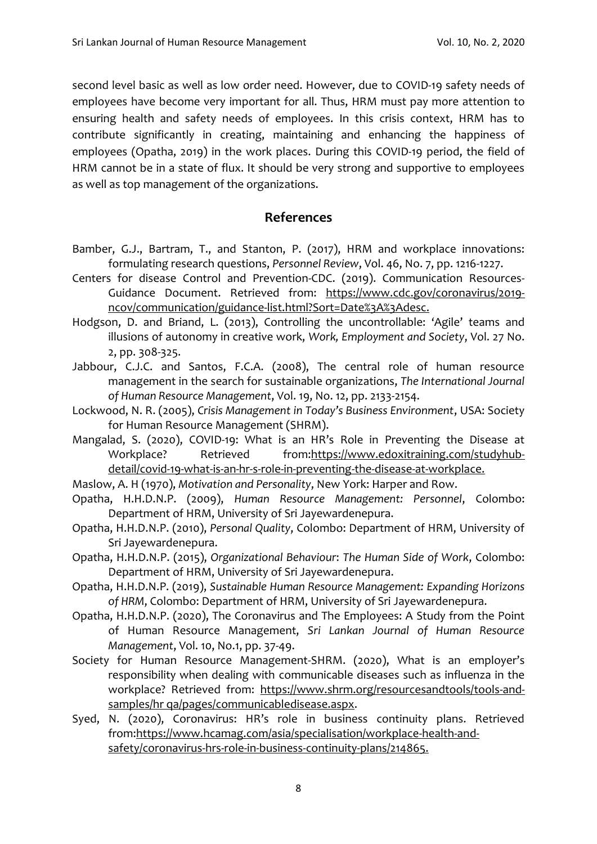second level basic as well as low order need. However, due to COVID-19 safety needs of employees have become very important for all. Thus, HRM must pay more attention to ensuring health and safety needs of employees. In this crisis context, HRM has to contribute significantly in creating, maintaining and enhancing the happiness of employees (Opatha, 2019) in the work places. During this COVID-19 period, the field of HRM cannot be in a state of flux. It should be very strong and supportive to employees as well as top management of the organizations.

## **References**

- Bamber, G.J., Bartram, T., and Stanton, P. (2017), HRM and workplace innovations: formulating research questions, *Personnel Review*, Vol. 46, No. 7, pp. 1216-1227.
- Centers for disease Control and Prevention-CDC. (2019). Communication Resources-Guidance Document. Retrieved from: [https://www.cdc.gov/coronavirus/2019](https://www.cdc.gov/coronavirus/2019-ncov/communication/guidance-list.html?Sort=Date%3A%3Adesc) [ncov/communication/guidance-list.html?Sort=Date%3A%3Adesc.](https://www.cdc.gov/coronavirus/2019-ncov/communication/guidance-list.html?Sort=Date%3A%3Adesc)
- Hodgson, D. and Briand, L. (2013), Controlling the uncontrollable: 'Agile' teams and illusions of autonomy in creative work, *Work, Employment and Society*, Vol. 27 No. 2, pp. 308-325.
- Jabbour, C.J.C. and Santos, F.C.A. (2008), The central role of human resource management in the search for sustainable organizations, *The International Journal of Human Resource Management*, Vol. 19, No. 12, pp. 2133-2154.
- Lockwood, N. R. (2005), *Crisis Management in Today's Business Environment*, USA: Society for Human Resource Management (SHRM).
- Mangalad, S. (2020), COVID-19: What is an HR's Role in Preventing the Disease at Workplace? Retrieved from[:https://www.edoxitraining.com/studyhub](https://www.edoxitraining.com/studyhub-detail/covid-19-what-is-an-hr-s-role-in-preventing-the-disease-at-workplace)[detail/covid-19-what-is-an-hr-s-role-in-preventing-the-disease-at-workplace.](https://www.edoxitraining.com/studyhub-detail/covid-19-what-is-an-hr-s-role-in-preventing-the-disease-at-workplace)
- Maslow, A. H (1970), *Motivation and Personality*, New York: Harper and Row.
- Opatha, H.H.D.N.P. (2009), *Human Resource Management: Personnel*, Colombo: Department of HRM, University of Sri Jayewardenepura.
- Opatha, H.H.D.N.P. (2010), *Personal Quality*, Colombo: Department of HRM, University of Sri Jayewardenepura.
- Opatha, H.H.D.N.P. (2015), *Organizational Behaviour*: *The Human Side of Work*, Colombo: Department of HRM, University of Sri Jayewardenepura.
- Opatha, H.H.D.N.P. (2019), *Sustainable Human Resource Management: Expanding Horizons of HRM*, Colombo: Department of HRM, University of Sri Jayewardenepura.
- Opatha, H.H.D.N.P. (2020), The Coronavirus and The Employees: A Study from the Point of Human Resource Management, *Sri Lankan Journal of Human Resource Management*, Vol. 10, No.1, pp. 37-49.
- Society for Human Resource Management-SHRM. (2020), What is an employer's responsibility when dealing with communicable diseases such as influenza in the workplace? Retrieved from: [https://www.shrm.org/resourcesandtools/tools-and](https://www.shrm.org/resourcesandtools/tools-and-samples/hr%20qa/pages/communicabledisease.aspx)[samples/hr qa/pages/communicabledisease.aspx.](https://www.shrm.org/resourcesandtools/tools-and-samples/hr%20qa/pages/communicabledisease.aspx)
- Syed, N. (2020), Coronavirus: HR's role in business continuity plans. Retrieved from[:https://www.hcamag.com/asia/specialisation/workplace-health-and](https://www.hcamag.com/asia/specialisation/workplace-health-and-safety/coronavirus-hrs-role-in-business-continuity-plans/214865)[safety/coronavirus-hrs-role-in-business-continuity-plans/214865.](https://www.hcamag.com/asia/specialisation/workplace-health-and-safety/coronavirus-hrs-role-in-business-continuity-plans/214865)